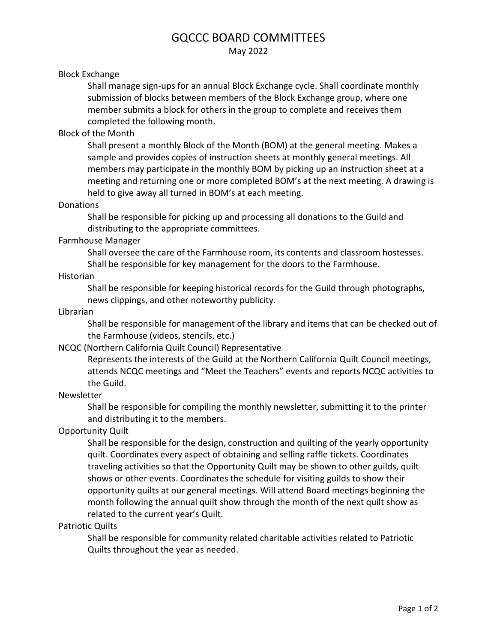# GQCCC BOARD COMMITTEES

May 2022

#### Block Exchange

Shall manage sign-ups for an annual Block Exchange cycle. Shall coordinate monthly submission of blocks between members of the Block Exchange group, where one member submits a block for others in the group to complete and receives them completed the following month.

## Block of the Month

Shall present a monthly Block of the Month (BOM) at the general meeting. Makes a sample and provides copies of instruction sheets at monthly general meetings. All members may participate in the monthly BOM by picking up an instruction sheet at a meeting and returning one or more completed BOM's at the next meeting. A drawing is held to give away all turned in BOM's at each meeting.

#### Donations

Shall be responsible for picking up and processing all donations to the Guild and distributing to the appropriate committees.

#### Farmhouse Manager

Shall oversee the care of the Farmhouse room, its contents and classroom hostesses. Shall be responsible for key management for the doors to the Farmhouse.

#### Historian

Shall be responsible for keeping historical records for the Guild through photographs, news clippings, and other noteworthy publicity.

#### Librarian

Shall be responsible for management of the library and items that can be checked out of the Farmhouse (videos, stencils, etc.)

## NCQC (Northern California Quilt Council) Representative

Represents the interests of the Guild at the Northern California Quilt Council meetings, attends NCQC meetings and "Meet the Teachers" events and reports NCQC activities to the Guild.

## Newsletter

Shall be responsible for compiling the monthly newsletter, submitting it to the printer and distributing it to the members.

## Opportunity Quilt

Shall be responsible for the design, construction and quilting of the yearly opportunity quilt. Coordinates every aspect of obtaining and selling raffle tickets. Coordinates traveling activities so that the Opportunity Quilt may be shown to other guilds, quilt shows or other events. Coordinates the schedule for visiting guilds to show their opportunity quilts at our general meetings. Will attend Board meetings beginning the month following the annual quilt show through the month of the next quilt show as related to the current year's Quilt.

#### Patriotic Quilts

Shall be responsible for community related charitable activities related to Patriotic Quilts throughout the year as needed.